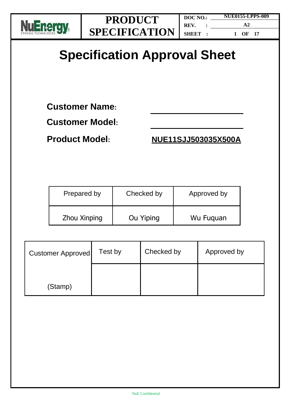

# **Specification Approval Sheet**

**Customer Name:** 

**Customer Model:**

**Product Model: NUE11SJJ503035X500A**

| Prepared by  | Checked by | Approved by |
|--------------|------------|-------------|
| Zhou Xinping | Ou Yiping  | Wu Fuguan   |

| <b>Customer Approved</b> | Test by | Checked by | Approved by |
|--------------------------|---------|------------|-------------|
| (Stamp)                  |         |            |             |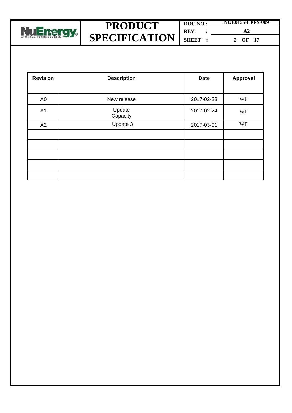

**DOC NO.: NUE0155-LPPS-009 REV. : SHEET : A2 2 OF 17**

| <b>Revision</b> | <b>Description</b> | <b>Date</b> | Approval |
|-----------------|--------------------|-------------|----------|
|                 |                    |             |          |
| A <sub>0</sub>  | New release        | 2017-02-23  | WF       |
| A <sub>1</sub>  | Update<br>Capacity | 2017-02-24  | WF       |
| A2              | Update 3           | 2017-03-01  | WF       |
|                 |                    |             |          |
|                 |                    |             |          |
|                 |                    |             |          |
|                 |                    |             |          |
|                 |                    |             |          |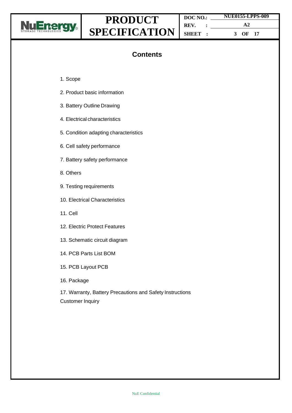

**DOC NO.: REV. : SHEET : NUE0155-LPPS-009 A2 3 OF 17**

## **Contents**

- 1. Scope
- 2. Product basic information
- 3. Battery Outline Drawing
- 4. Electrical characteristics
- 5. Condition adapting characteristics
- 6. Cell safety performance
- 7. Battery safety performance
- 8. Others
- 9. Testing requirements
- 10. Electrical Characteristics
- 11. Cell
- 12. Electric Protect Features
- 13. Schematic circuit diagram
- 14. PCB Parts List BOM
- 15. PCB Layout PCB
- 16. Package
- 17. Warranty, Battery Precautions and Safety Instructions Customer Inquiry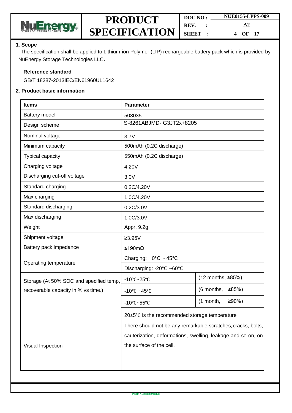

| DOC NO.        |  | <b>NUE0155-LPPS-009</b> |  |  |
|----------------|--|-------------------------|--|--|
| REV.           |  | $\mathbf{A}$ 2.         |  |  |
| <b>SHEET :</b> |  | OF 17<br>4              |  |  |

#### **1. Scope**

The specification shall be applied to Lithium-ion Polymer (LIP) rechargeable battery pack which is provided by NuEnergy Storage Technologies LLC**.**

#### **Reference standard**

GB/T 18287-2013IEC/EN61960UL1642

#### **2. Product basic information**

| <b>Items</b>                            | <b>Parameter</b>                                             |                         |  |
|-----------------------------------------|--------------------------------------------------------------|-------------------------|--|
| <b>Battery model</b>                    | 503035                                                       |                         |  |
| Design scheme                           | S-8261ABJMD-G3JT2x+8205                                      |                         |  |
| Nominal voltage                         | 3.7V                                                         |                         |  |
| Minimum capacity                        | 500mAh (0.2C discharge)                                      |                         |  |
| Typical capacity                        | 550mAh (0.2C discharge)                                      |                         |  |
| Charging voltage                        | 4.20V                                                        |                         |  |
| Discharging cut-off voltage             | 3.0V                                                         |                         |  |
| Standard charging                       | 0.2C/4.20V                                                   |                         |  |
| Max charging                            | 1.0C/4.20V                                                   |                         |  |
| Standard discharging                    | 0.2C/3.0V                                                    |                         |  |
| Max discharging                         | 1.0C/3.0V                                                    |                         |  |
| Weight                                  | Appr. 9.2g                                                   |                         |  |
| Shipment voltage                        | $≥3.95V$                                                     |                         |  |
| Battery pack impedance                  | ≤190mΩ                                                       |                         |  |
|                                         | Charging: $0^{\circ}$ C ~ 45°C                               |                         |  |
| Operating temperature                   | Discharging: -20°C ~60°C                                     |                         |  |
| Storage (At 50% SOC and specified temp, | $-10^{\circ}$ C $-25^{\circ}$ C                              | (12 months, ≥85%)       |  |
| recoverable capacity in % vs time.)     | -10 $\degree$ C ~45 $\degree$ C                              | $(6$ months,<br>≥85%    |  |
|                                         | -10 $\textdegree$ C~55 $\textdegree$ C                       | $≥90%$ )<br>$(1$ month, |  |
|                                         | $20\pm5\degree$ C is the recommended storage temperature     |                         |  |
|                                         | There should not be any remarkable scratches, cracks, bolts, |                         |  |
|                                         | cauterization, deformations, swelling, leakage and so on, on |                         |  |
| Visual Inspection                       | the surface of the cell.                                     |                         |  |
|                                         |                                                              |                         |  |
|                                         |                                                              |                         |  |
|                                         |                                                              |                         |  |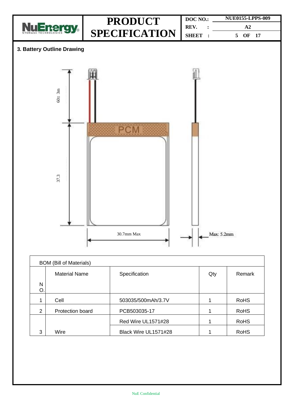

|         | <b>BOM (Bill of Materials)</b> |                      |     |             |  |
|---------|--------------------------------|----------------------|-----|-------------|--|
|         | <b>Material Name</b>           | Specification        | Qty | Remark      |  |
| N<br>O. |                                |                      |     |             |  |
|         | Cell                           | 503035/500mAh/3.7V   |     | <b>RoHS</b> |  |
| 2       | Protection board               | PCB503035-17         |     | <b>RoHS</b> |  |
|         |                                | Red Wire UL1571#28   |     | <b>RoHS</b> |  |
| 3       | Wire                           | Black Wire UL1571#28 |     | <b>RoHS</b> |  |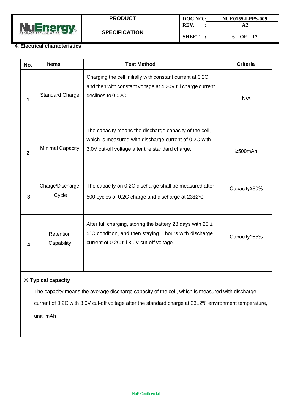

#### **4. Electrical characteristics**

| No.            | <b>Items</b>              | <b>Test Method</b>                                                                                                                                                     | <b>Criteria</b> |
|----------------|---------------------------|------------------------------------------------------------------------------------------------------------------------------------------------------------------------|-----------------|
| 1              | <b>Standard Charge</b>    | Charging the cell initially with constant current at 0.2C<br>and then with constant voltage at 4.20V till charge current<br>declines to 0.02C.                         | N/A             |
| $\overline{2}$ | <b>Minimal Capacity</b>   | The capacity means the discharge capacity of the cell,<br>which is measured with discharge current of 0.2C with<br>3.0V cut-off voltage after the standard charge.     | $\geq 500$ mAh  |
| 3              | Charge/Discharge<br>Cycle | The capacity on 0.2C discharge shall be measured after<br>500 cycles of 0.2C charge and discharge at 23±2°C.                                                           | Capacity≥80%    |
| 4              | Retention<br>Capability   | After full charging, storing the battery 28 days with 20 $\pm$<br>5°C condition, and then staying 1 hours with discharge<br>current of 0.2C till 3.0V cut-off voltage. | Capacity≥85%    |

### ※ **Typical capacity**

The capacity means the average discharge capacity of the cell, which is measured with discharge

current of 0.2C with 3.0V cut-off voltage after the standard charge at 23±2℃ environment temperature,

unit: mAh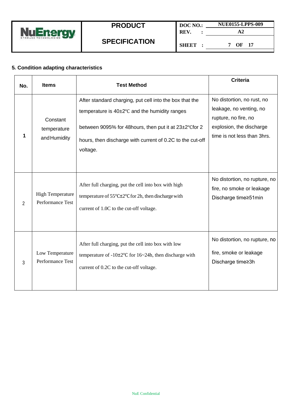

**SPECIFICATION**

**SHEET : 7 OF 17**

#### **5. Condition adapting characteristics**

| No. | <b>Items</b>                                | <b>Test Method</b>                                                                                                                                                                                                                           | <b>Criteria</b>                                                                                                                          |
|-----|---------------------------------------------|----------------------------------------------------------------------------------------------------------------------------------------------------------------------------------------------------------------------------------------------|------------------------------------------------------------------------------------------------------------------------------------------|
| 1   | Constant<br>temperature<br>and Humidity     | After standard charging, put cell into the box that the<br>temperature is 40±2°C and the humidity ranges<br>between 9095% for 48 hours, then put it at 23±2°C for 2<br>hours, then discharge with current of 0.2C to the cut-off<br>voltage. | No distortion, no rust, no<br>leakage, no venting, no<br>rupture, no fire, no<br>explosion, the discharge<br>time is not less than 3hrs. |
| 2   | <b>High Temperature</b><br>Performance Test | After full charging, put the cell into box with high<br>temperature of $55^{\circ}$ C $\pm 2^{\circ}$ C for 2h, then discharge with<br>current of 1.0C to the cut-off voltage.                                                               | No distortion, no rupture, no<br>fire, no smoke or leakage<br>Discharge time≥51min                                                       |
| 3   | Low Temperature<br>Performance Test         | After full charging, put the cell into box with low<br>temperature of $-10\pm2\degree$ C for $16\sim24h$ , then discharge with<br>current of 0.2C to the cut-off voltage.                                                                    | No distortion, no rupture, no<br>fire, smoke or leakage<br>Discharge time≥3h                                                             |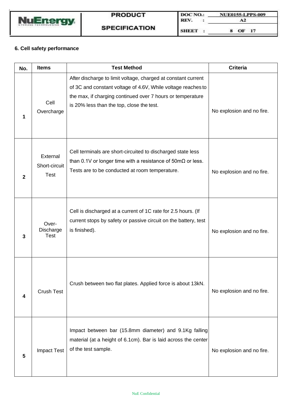

#### **6. Cell safety performance**

| No. | <b>Items</b>                                                                                                                                                                                                                            | <b>Test Method</b>                                                                                                                                                                                                                       | <b>Criteria</b>           |
|-----|-----------------------------------------------------------------------------------------------------------------------------------------------------------------------------------------------------------------------------------------|------------------------------------------------------------------------------------------------------------------------------------------------------------------------------------------------------------------------------------------|---------------------------|
| 1   | Cell<br>Overcharge                                                                                                                                                                                                                      | After discharge to limit voltage, charged at constant current<br>of 3C and constant voltage of 4.6V, While voltage reaches to<br>the max, if charging continued over 7 hours or temperature<br>is 20% less than the top, close the test. | No explosion and no fire. |
| 2   | Cell terminals are short-circuited to discharged state less<br>External<br>than 0.1V or longer time with a resistance of $50 \text{m}\Omega$ or less.<br>Short-circuit<br>Tests are to be conducted at room temperature.<br><b>Test</b> |                                                                                                                                                                                                                                          | No explosion and no fire. |
| 3   | Over-<br>Discharge<br><b>Test</b>                                                                                                                                                                                                       | Cell is discharged at a current of 1C rate for 2.5 hours. (If<br>current stops by safety or passive circuit on the battery, test<br>is finished).                                                                                        | No explosion and no fire. |
| 4   | Crush between two flat plates. Applied force is about 13kN.<br><b>Crush Test</b>                                                                                                                                                        |                                                                                                                                                                                                                                          | No explosion and no fire. |
| 5   | Impact Test                                                                                                                                                                                                                             | Impact between bar (15.8mm diameter) and 9.1Kg falling<br>material (at a height of 6.1cm). Bar is laid across the center<br>of the test sample.                                                                                          | No explosion and no fire. |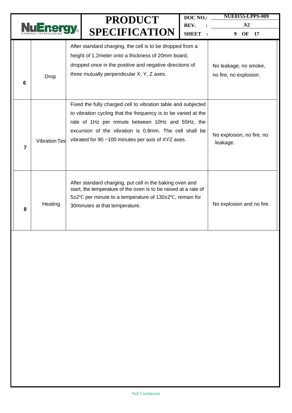|   |                      |                                                                                                                                                                                                                                                                                                      | <b>PRODUCT</b>                                                                                                                                                                                                             | DOC NO.:                              | <b>NUE0155-LPPS-009</b>                         |
|---|----------------------|------------------------------------------------------------------------------------------------------------------------------------------------------------------------------------------------------------------------------------------------------------------------------------------------------|----------------------------------------------------------------------------------------------------------------------------------------------------------------------------------------------------------------------------|---------------------------------------|-------------------------------------------------|
|   |                      |                                                                                                                                                                                                                                                                                                      |                                                                                                                                                                                                                            | REV.                                  | A <sub>2</sub>                                  |
|   |                      |                                                                                                                                                                                                                                                                                                      | <b>SPECIFICATION</b>                                                                                                                                                                                                       | <b>SHEET</b>                          | <b>OF</b><br>9<br>- 17                          |
| 6 | Drop                 |                                                                                                                                                                                                                                                                                                      | After standard charging, the cell is to be dropped from a<br>height of 1.2 meter onto a thickness of 20mm board,<br>dropped once in the positive and negative directions of<br>three mutually perpendicular X, Y, Z axes.  |                                       | No leakage, no smoke,<br>no fire, no explosion. |
| 7 | <b>Vibration Tes</b> | Fixed the fully charged cell to vibration table and subjected<br>to vibration cycling that the frequency is to be varied at the<br>rate of 1Hz per minute between 10Hz and 55Hz, the<br>excursion of the vibration is 0.8mm. The cell shall be<br>vibrated for 90 ~100 minutes per axis of XYZ axes. |                                                                                                                                                                                                                            | No explosion, no fire, no<br>leakage. |                                                 |
| 8 | Heating              |                                                                                                                                                                                                                                                                                                      | After standard charging, put cell in the baking oven and<br>start, the temperature of the oven is to be raised at a rate of<br>5±2°C per minute to a temperature of 130±2°C, remain for<br>30 minutes at that temperature. |                                       | No explosion and no fire.                       |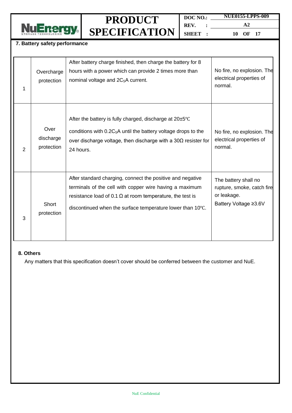

**DOC NO.: REV. : SHEET : NUE0155-LPPS-009**

**A2 10 OF 17**

#### **7. Battery safety performance**

| 1              | Overcharge<br>protection        | After battery charge finished, then charge the battery for 8<br>hours with a power which can provide 2 times more than<br>nominal voltage and 2C <sub>5</sub> A current.                                                                                | No fire, no explosion. The<br>electrical properties of<br>normal.                          |
|----------------|---------------------------------|---------------------------------------------------------------------------------------------------------------------------------------------------------------------------------------------------------------------------------------------------------|--------------------------------------------------------------------------------------------|
| $\overline{2}$ | Over<br>discharge<br>protection | After the battery is fully charged, discharge at 20±5°C<br>conditions with $0.2C_5A$ until the battery voltage drops to the<br>over discharge voltage, then discharge with a $30\Omega$ resister for<br>24 hours.                                       | No fire, no explosion. The<br>electrical properties of<br>normal.                          |
| 3              | Short<br>protection             | After standard charging, connect the positive and negative<br>terminals of the cell with copper wire having a maximum<br>resistance load of 0.1 $\Omega$ at room temperature, the test is<br>discontinued when the surface temperature lower than 10°C. | The battery shall no<br>rupture, smoke, catch fire<br>or leakage.<br>Battery Voltage ≥3.6V |

#### **8. Others**

Any matters that this specification doesn't cover should be conferred between the customer and NuE.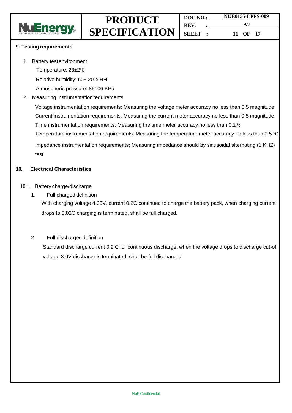

#### **9. Testing requirements**

- 1. Battery testenvironment
	- Temperature: 23±2℃

Relative humidity: 60± 20% RH

Atmospheric pressure: 86106 KPa

2. Measuring instrumentationrequirements

Voltage instrumentation requirements: Measuring the voltage meter accuracy no less than 0.5 magnitude Current instrumentation requirements: Measuring the current meter accuracy no less than 0.5 magnitude Time instrumentation requirements: Measuring the time meter accuracy no less than 0.1% Temperature instrumentation requirements: Measuring the temperature meter accuracy no less than 0.5 ℃

Impedance instrumentation requirements: Measuring impedance should by sinusoidal alternating (1 KHZ) test

#### **10. Electrical Characteristics**

- 10.1 Battery charge/discharge
	- 1. Full charged definition

With charging voltage 4.35V, current 0.2C continued to charge the battery pack, when charging current drops to 0.02C charging is terminated, shall be full charged.

#### 2. Full discharged definition

Standard discharge current 0.2 C for continuous discharge, when the voltage drops to discharge cut-off voltage 3.0V discharge is terminated, shall be full discharged.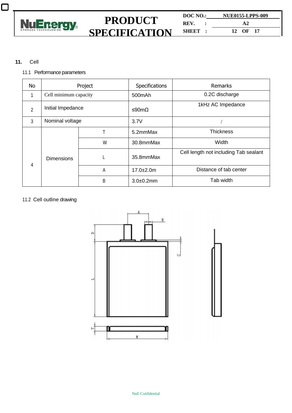

#### **11.** Cell

 $\Box$ 

11.1 Performance parameters

| <b>No</b>      | Project               |   | Specifications   | <b>Remarks</b>                        |
|----------------|-----------------------|---|------------------|---------------------------------------|
|                | Cell minimum capacity |   | 500mAh           | 0.2C discharge                        |
| $\overline{2}$ | Initial Impedance     |   | ≤90mΩ            | 1kHz AC Impedance                     |
| 3              | Nominal voltage       |   | 3.7V             |                                       |
|                |                       |   | 5.2mmMax         | <b>Thickness</b>                      |
|                | <b>Dimensions</b>     | W | 30.8mmMax        | Width                                 |
| 4              |                       |   | 35.8mmMax        | Cell length not including Tab sealant |
|                |                       | A | $17.0 \pm 2.0$ m | Distance of tab center                |
|                |                       | Β | $3.0 + 0.2$ mm   | Tab width                             |

#### 11.2 Cell outline drawing

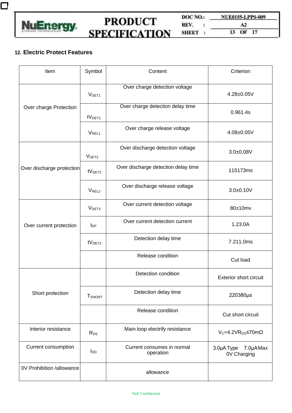

 $\Box$ 

**DOC NO.: NUE0155-LPPS-009 PRODUCT REV. : A2 SPECIFICATION SHEET : <sup>13</sup> OF <sup>17</sup>**

#### **12. Electric Protect Features**

| Item                      | Symbol                 | Content                                                                          | Criterion                     |  |
|---------------------------|------------------------|----------------------------------------------------------------------------------|-------------------------------|--|
|                           | V <sub>DET1</sub>      | Over charge detection voltage                                                    | 4.28±0.05V                    |  |
| Over charge Protection    | tV <sub>DET1</sub>     | Over charge detection delay time                                                 | 0.961.4s                      |  |
|                           | <b>VREL1</b>           | Over charge release voltage                                                      | 4.08±0.05V                    |  |
|                           | V <sub>DET2</sub>      | Over discharge detection voltage                                                 | $3.0 + 0.08V$                 |  |
| Over discharge protection | tV <sub>DET2</sub>     | Over discharge detection delay time                                              | 115173ms                      |  |
|                           | V <sub>REL2</sub>      | Over discharge release voltage                                                   | $3.0 + 0.10V$                 |  |
|                           | V <sub>DET3</sub>      | Over current detection voltage                                                   | 80±10mv                       |  |
| Over current protection   | $I_{DP}$               | Over current detection current                                                   | 1.23.0A                       |  |
|                           | tV <sub>DET3</sub>     | Detection delay time                                                             | 7.211.0ms                     |  |
|                           |                        | Release condition                                                                | Cut load                      |  |
|                           |                        | Detection condition                                                              | <b>Exterior short circuit</b> |  |
| Short protection          | <b>T</b> SHORT         | Detection delay time                                                             | 220380µs                      |  |
|                           |                        | Release condition                                                                | Cut short circuit             |  |
| Interior resistance       | $R_{DS}$               | Main loop electrify resistance<br>$V_c = 4.2 VR_{DS} \le 70 m\Omega$             |                               |  |
| Current consumption       | <b>I</b> <sub>DD</sub> | Current consumes in normal<br>3.0µA Type<br>7.0µAMax<br>operation<br>0V Charging |                               |  |
| 0V Prohibition /allowance |                        | allowance                                                                        |                               |  |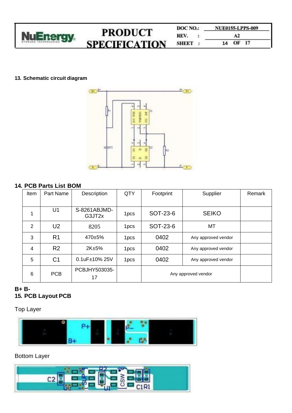

#### **13. Schematic circuit diagram**



### **14. PCB Parts List BOM**

| Item           | Part Name      | Description            | QTY              | Footprint           | Supplier            | Remark |
|----------------|----------------|------------------------|------------------|---------------------|---------------------|--------|
|                |                |                        |                  |                     |                     |        |
|                | U1             | S-8261ABJMD-<br>G3JT2x | 1 <sub>pcs</sub> | SOT-23-6            | <b>SEIKO</b>        |        |
| 2              | U <sub>2</sub> | 8205                   | 1 <sub>pcs</sub> | SOT-23-6            | MT                  |        |
| 3              | R <sub>1</sub> | $470+5%$               | 1 <sub>pcs</sub> | 0402                | Any approved vendor |        |
| $\overline{4}$ | R <sub>2</sub> | 2K±5%                  | 1 <sub>pcs</sub> | 0402                | Any approved vendor |        |
| 5              | C <sub>1</sub> | 0.1uF±10% 25V          | 1pcs             | 0402                | Any approved vendor |        |
| 6              | <b>PCB</b>     | PCBJHY503035-<br>17    |                  | Any approved vendor |                     |        |

### **B+ B-15. PCB Layout PCB**

Top Layer



## Bottom Layer

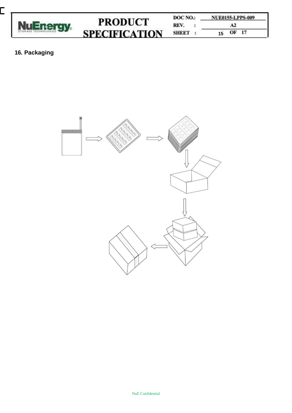

#### **DOC NO.: NUE0155-LPPS-009**<br>**REV.** : **A2 PRODUCT REV. : A2 SPECIFICATION SHEET : <sup>15</sup> OF <sup>17</sup> 15**

## **16. Packaging**

Ċ

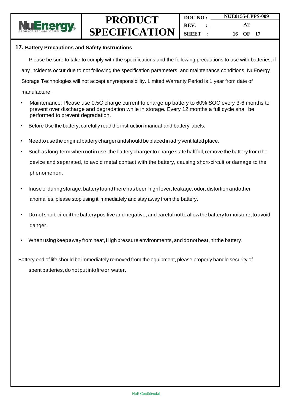

#### **17. Battery Precautions and Safety Instructions**

Please be sure to take to comply with the specifications and the following precautions to use with batteries, if any incidents occur due to not following the specification parameters, and maintenance conditions, NuEnergy Storage Technologies will not accept anyresponsibility. Limited Warranty Period is 1 year from date of manufacture.

- Maintenance: Please use 0.5C charge current to charge up battery to 60% SOC every 3-6 months to prevent over discharge and degradation while in storage. Every 12 months a full cycle shall be performed to prevent degradation.
- Before Use the battery, carefully read the instruction manual and battery labels.
- Needto usethe original battery charger and should be placed in adry ventilated place.
- Such as long-term when not in use, the battery charger to charge state half full, remove the battery from the device and separated, to avoid metal contact with the battery, causing short-circuit or damage to the phenomenon.
- Inuse orduring storage, battery found there has been high fever, leakage, odor, distortion andother anomalies, please stop using it immediately and stay away from the battery.
- Donot short-circuitthebattery positive andnegative, andcareful nottoallowthe battery tomoisture, toavoid danger.
- When using keep away from heat, High pressure environments, and donot beat, hit the battery.

Battery end of life should be immediately removed from the equipment, please properly handle security of spent batteries, do notput intofireor water.